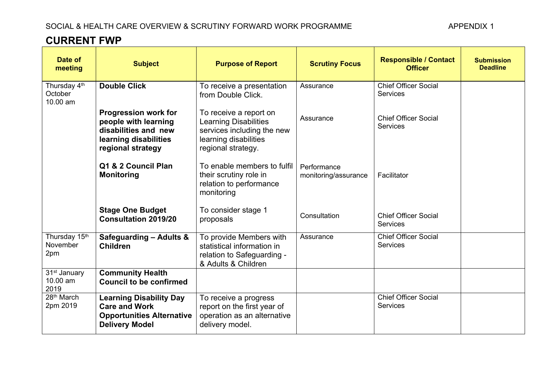## **CURRENT FWP**

| Date of<br>meeting                           | <b>Subject</b>                                                                                                            | <b>Purpose of Report</b>                                                                                                            | <b>Scrutiny Focus</b>               | <b>Responsible / Contact</b><br><b>Officer</b> | <b>Submission</b><br><b>Deadline</b> |
|----------------------------------------------|---------------------------------------------------------------------------------------------------------------------------|-------------------------------------------------------------------------------------------------------------------------------------|-------------------------------------|------------------------------------------------|--------------------------------------|
| Thursday 4th<br>October<br>10.00 am          | <b>Double Click</b>                                                                                                       | To receive a presentation<br>from Double Click.                                                                                     | Assurance                           | <b>Chief Officer Social</b><br><b>Services</b> |                                      |
|                                              | <b>Progression work for</b><br>people with learning<br>disabilities and new<br>learning disabilities<br>regional strategy | To receive a report on<br><b>Learning Disabilities</b><br>services including the new<br>learning disabilities<br>regional strategy. | Assurance                           | <b>Chief Officer Social</b><br><b>Services</b> |                                      |
|                                              | Q1 & 2 Council Plan<br><b>Monitoring</b>                                                                                  | To enable members to fulfil<br>their scrutiny role in<br>relation to performance<br>monitoring                                      | Performance<br>monitoring/assurance | Facilitator                                    |                                      |
|                                              | <b>Stage One Budget</b><br><b>Consultation 2019/20</b>                                                                    | To consider stage 1<br>proposals                                                                                                    | Consultation                        | <b>Chief Officer Social</b><br><b>Services</b> |                                      |
| Thursday 15th<br>November<br>2pm             | Safeguarding - Adults &<br><b>Children</b>                                                                                | To provide Members with<br>statistical information in<br>relation to Safeguarding -<br>& Adults & Children                          | Assurance                           | <b>Chief Officer Social</b><br><b>Services</b> |                                      |
| 31 <sup>st</sup> January<br>10.00 am<br>2019 | <b>Community Health</b><br><b>Council to be confirmed</b>                                                                 |                                                                                                                                     |                                     |                                                |                                      |
| 28 <sup>th</sup> March<br>2pm 2019           | <b>Learning Disability Day</b><br><b>Care and Work</b><br><b>Opportunities Alternative</b><br><b>Delivery Model</b>       | To receive a progress<br>report on the first year of<br>operation as an alternative<br>delivery model.                              |                                     | <b>Chief Officer Social</b><br>Services        |                                      |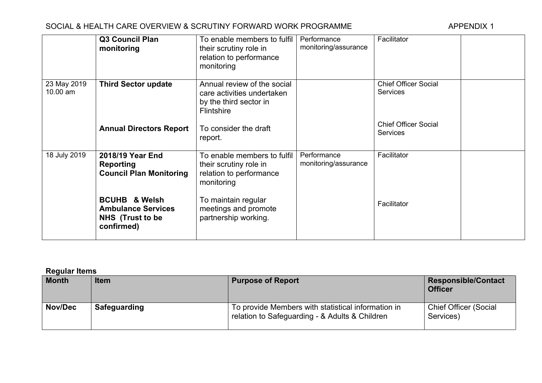## SOCIAL & HEALTH CARE OVERVIEW & SCRUTINY FORWARD WORK PROGRAMME

|                         | <b>Q3 Council Plan</b><br>monitoring                                                           | To enable members to fulfil<br>their scrutiny role in<br>relation to performance<br>monitoring           | Performance<br>monitoring/assurance | Facilitator                                    |
|-------------------------|------------------------------------------------------------------------------------------------|----------------------------------------------------------------------------------------------------------|-------------------------------------|------------------------------------------------|
| 23 May 2019<br>10.00 am | <b>Third Sector update</b>                                                                     | Annual review of the social<br>care activities undertaken<br>by the third sector in<br><b>Flintshire</b> |                                     | <b>Chief Officer Social</b><br>Services        |
|                         | <b>Annual Directors Report</b>                                                                 | To consider the draft<br>report.                                                                         |                                     | <b>Chief Officer Social</b><br><b>Services</b> |
| 18 July 2019            | 2018/19 Year End<br>Reporting<br><b>Council Plan Monitoring</b>                                | To enable members to fulfil<br>their scrutiny role in<br>relation to performance<br>monitoring           | Performance<br>monitoring/assurance | Facilitator                                    |
|                         | <b>BCUHB &amp; Welsh</b><br><b>Ambulance Services</b><br><b>NHS</b> (Trust to be<br>confirmed) | To maintain regular<br>meetings and promote<br>partnership working.                                      |                                     | Facilitator                                    |

**Regular Items**

| $1.17$ and $1.17$<br>Month | <b>Item</b>         | <b>Purpose of Report</b>                                                                             | <b>Responsible/Contact</b><br><b>Officer</b> |
|----------------------------|---------------------|------------------------------------------------------------------------------------------------------|----------------------------------------------|
| Nov/Dec                    | <b>Safeguarding</b> | To provide Members with statistical information in<br>relation to Safeguarding - & Adults & Children | <b>Chief Officer (Social</b><br>Services)    |